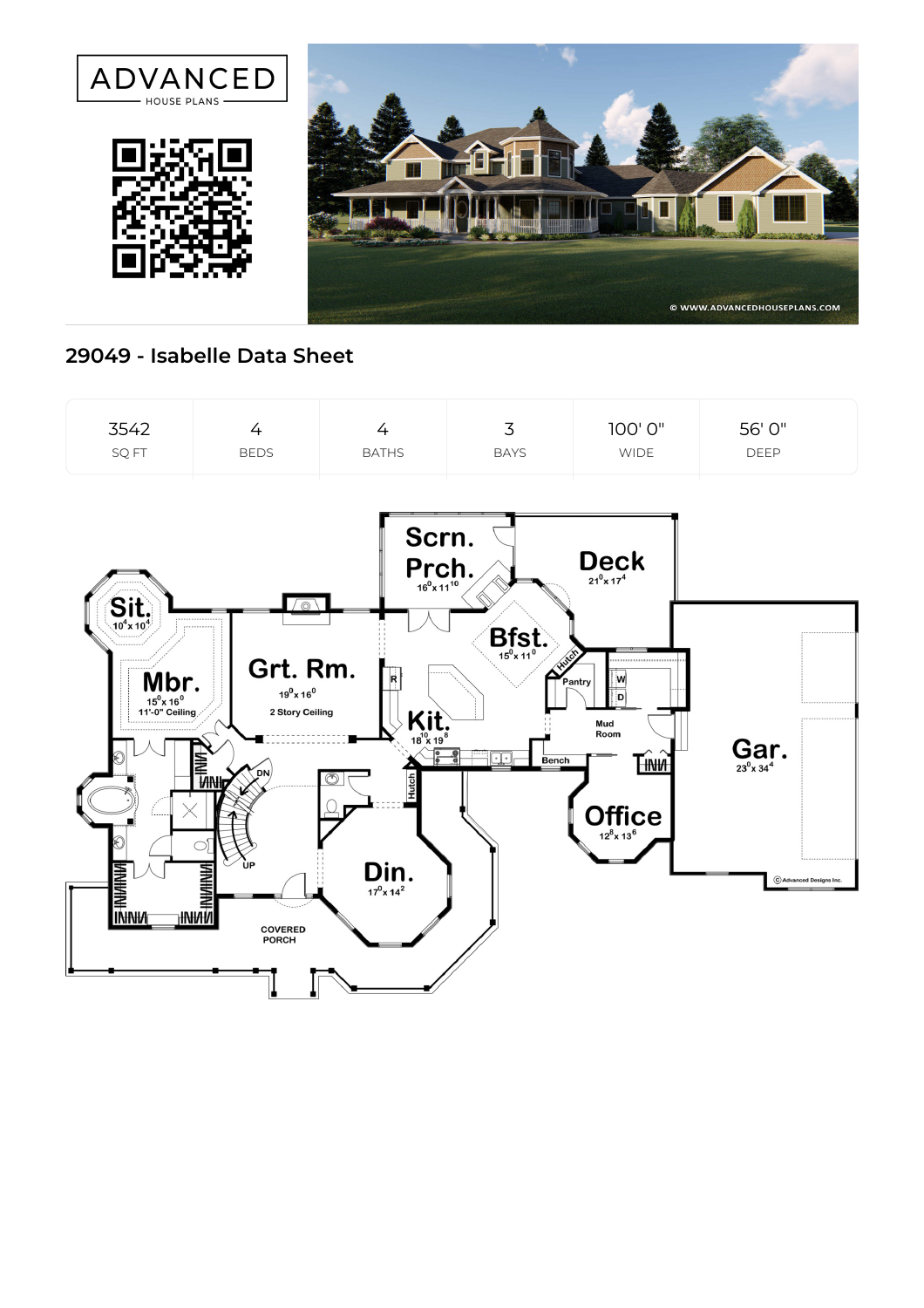

## **29049 - Isabelle Data Sheet**

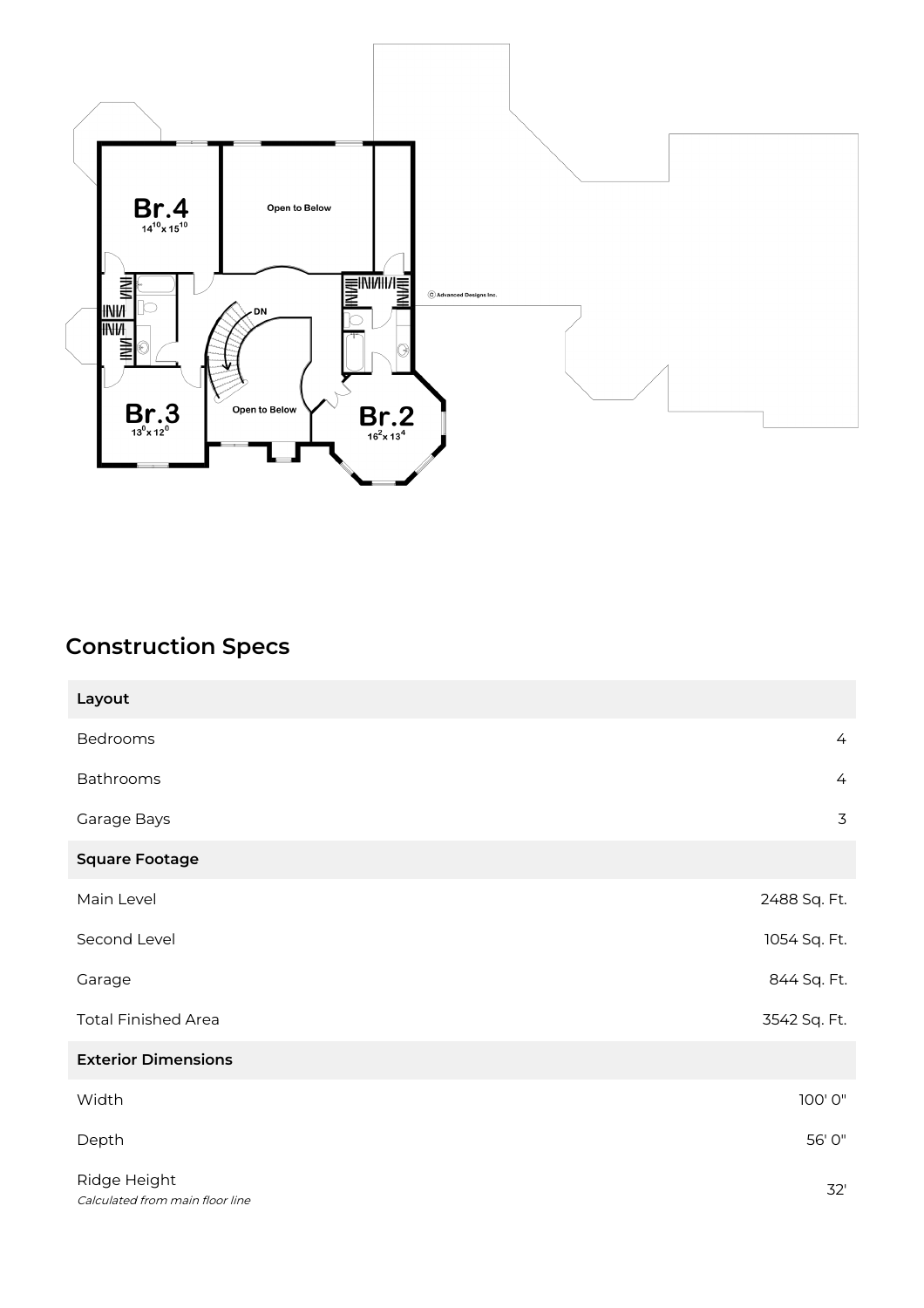

## **Construction Specs**

| Layout                                          |                |
|-------------------------------------------------|----------------|
| Bedrooms                                        | $\overline{4}$ |
| Bathrooms                                       | $\overline{4}$ |
| Garage Bays                                     | 3              |
| <b>Square Footage</b>                           |                |
| Main Level                                      | 2488 Sq. Ft.   |
| Second Level                                    | 1054 Sq. Ft.   |
| Garage                                          | 844 Sq. Ft.    |
| <b>Total Finished Area</b>                      | 3542 Sq. Ft.   |
| <b>Exterior Dimensions</b>                      |                |
| Width                                           | 100'0"         |
| Depth                                           | 56' 0"         |
| Ridge Height<br>Calculated from main floor line | 32'            |